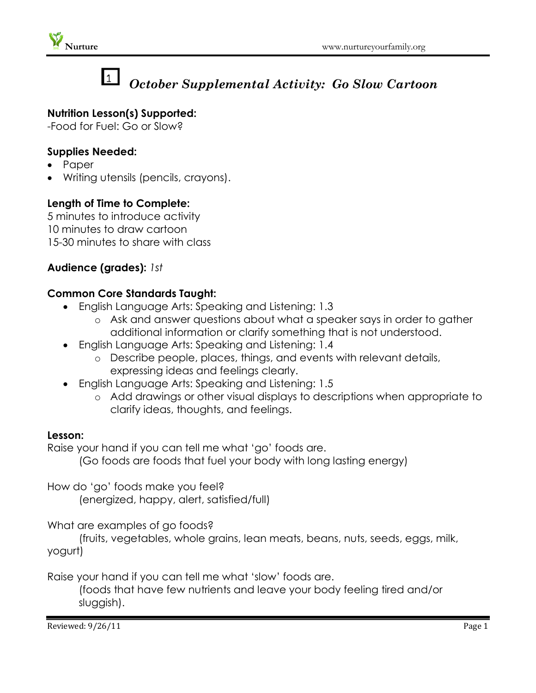

# $\mathbf{1}$

## *October Supplemental Activity: Go Slow Cartoon*

### **Nutrition Lesson(s) Supported:**

-Food for Fuel: Go or Slow?

#### **Supplies Needed:**

- Paper
- Writing utensils (pencils, crayons).

#### **Length of Time to Complete:**

5 minutes to introduce activity 10 minutes to draw cartoon 15-30 minutes to share with class

#### **Audience (grades):** *1st*

#### **Common Core Standards Taught:**

- English Language Arts: Speaking and Listening: 1.3
	- o Ask and answer questions about what a speaker says in order to gather additional information or clarify something that is not understood.
- English Language Arts: Speaking and Listening: 1.4
	- o Describe people, places, things, and events with relevant details, expressing ideas and feelings clearly.
- English Language Arts: Speaking and Listening: 1.5
	- o Add drawings or other visual displays to descriptions when appropriate to clarify ideas, thoughts, and feelings.

#### **Lesson:**

Raise your hand if you can tell me what 'go' foods are.

(Go foods are foods that fuel your body with long lasting energy)

How do 'go' foods make you feel? (energized, happy, alert, satisfied/full)

What are examples of go foods?

(fruits, vegetables, whole grains, lean meats, beans, nuts, seeds, eggs, milk, yogurt)

Raise your hand if you can tell me what 'slow' foods are.

(foods that have few nutrients and leave your body feeling tired and/or sluggish).